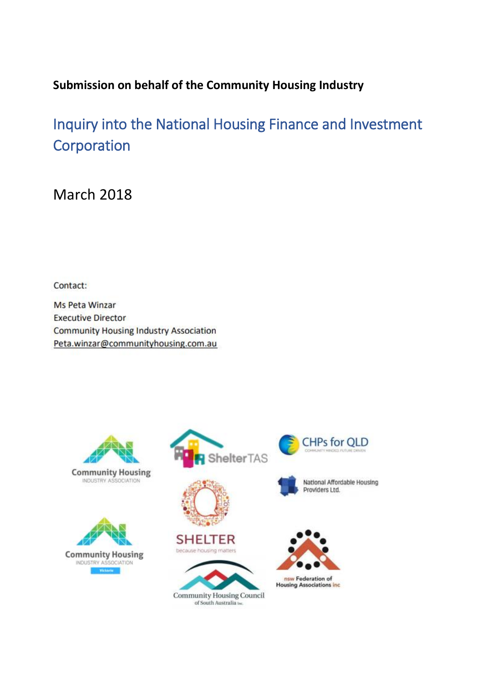## **Submission on behalf of the Community Housing Industry**

Inquiry into the National Housing Finance and Investment **Corporation** 

March 2018

Contact:

**Ms Peta Winzar Executive Director Community Housing Industry Association** Peta.winzar@communityhousing.com.au



**Community Housing** INDUSTRY ASSOCIATION











**Community Housing Council** of South Australia be



**CHPs for QLD** 

National Affordable Housing

Providers Ltd.

nsw Federation of<br>Housing Associations inc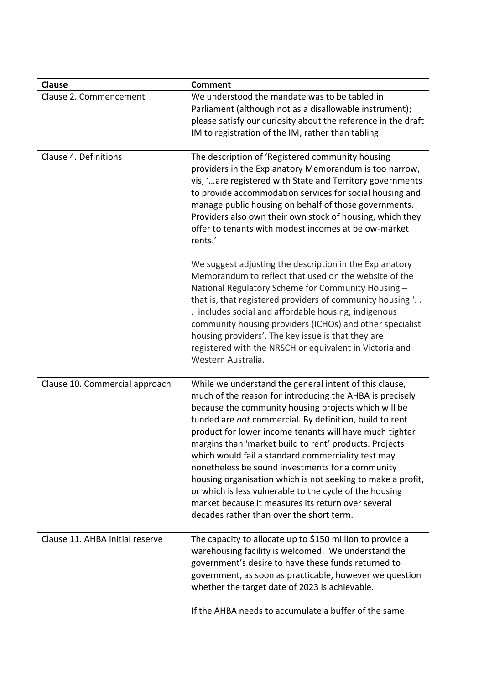| <b>Clause</b>                   | <b>Comment</b>                                                                                                                                                                                                                                                                                                                                                                                                                                                                                                                                                                                                                                                                                   |
|---------------------------------|--------------------------------------------------------------------------------------------------------------------------------------------------------------------------------------------------------------------------------------------------------------------------------------------------------------------------------------------------------------------------------------------------------------------------------------------------------------------------------------------------------------------------------------------------------------------------------------------------------------------------------------------------------------------------------------------------|
| Clause 2. Commencement          | We understood the mandate was to be tabled in<br>Parliament (although not as a disallowable instrument);<br>please satisfy our curiosity about the reference in the draft<br>IM to registration of the IM, rather than tabling.                                                                                                                                                                                                                                                                                                                                                                                                                                                                  |
| Clause 4. Definitions           | The description of 'Registered community housing<br>providers in the Explanatory Memorandum is too narrow,<br>vis, ' are registered with State and Territory governments<br>to provide accommodation services for social housing and<br>manage public housing on behalf of those governments.<br>Providers also own their own stock of housing, which they<br>offer to tenants with modest incomes at below-market<br>rents.'                                                                                                                                                                                                                                                                    |
|                                 | We suggest adjusting the description in the Explanatory<br>Memorandum to reflect that used on the website of the<br>National Regulatory Scheme for Community Housing -<br>that is, that registered providers of community housing '<br>. includes social and affordable housing, indigenous<br>community housing providers (ICHOs) and other specialist<br>housing providers'. The key issue is that they are<br>registered with the NRSCH or equivalent in Victoria and<br>Western Australia.                                                                                                                                                                                                   |
| Clause 10. Commercial approach  | While we understand the general intent of this clause,<br>much of the reason for introducing the AHBA is precisely<br>because the community housing projects which will be<br>funded are not commercial. By definition, build to rent<br>product for lower income tenants will have much tighter<br>margins than 'market build to rent' products. Projects<br>which would fail a standard commerciality test may<br>nonetheless be sound investments for a community<br>housing organisation which is not seeking to make a profit,<br>or which is less vulnerable to the cycle of the housing<br>market because it measures its return over several<br>decades rather than over the short term. |
| Clause 11. AHBA initial reserve | The capacity to allocate up to \$150 million to provide a<br>warehousing facility is welcomed. We understand the<br>government's desire to have these funds returned to<br>government, as soon as practicable, however we question<br>whether the target date of 2023 is achievable.<br>If the AHBA needs to accumulate a buffer of the same                                                                                                                                                                                                                                                                                                                                                     |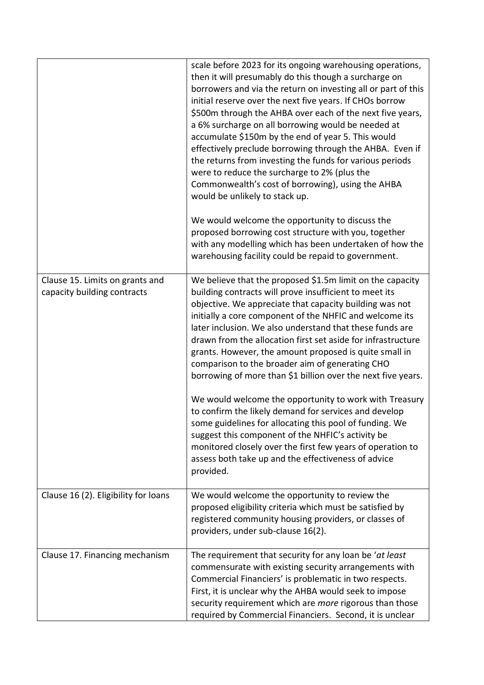|                                                                | scale before 2023 for its ongoing warehousing operations,<br>then it will presumably do this though a surcharge on<br>borrowers and via the return on investing all or part of this<br>initial reserve over the next five years. If CHOs borrow<br>\$500m through the AHBA over each of the next five years,<br>a 6% surcharge on all borrowing would be needed at<br>accumulate \$150m by the end of year 5. This would<br>effectively preclude borrowing through the AHBA. Even if<br>the returns from investing the funds for various periods<br>were to reduce the surcharge to 2% (plus the<br>Commonwealth's cost of borrowing), using the AHBA<br>would be unlikely to stack up.                                                                                                                                                                                                                                 |
|----------------------------------------------------------------|-------------------------------------------------------------------------------------------------------------------------------------------------------------------------------------------------------------------------------------------------------------------------------------------------------------------------------------------------------------------------------------------------------------------------------------------------------------------------------------------------------------------------------------------------------------------------------------------------------------------------------------------------------------------------------------------------------------------------------------------------------------------------------------------------------------------------------------------------------------------------------------------------------------------------|
|                                                                | We would welcome the opportunity to discuss the<br>proposed borrowing cost structure with you, together<br>with any modelling which has been undertaken of how the<br>warehousing facility could be repaid to government.                                                                                                                                                                                                                                                                                                                                                                                                                                                                                                                                                                                                                                                                                               |
| Clause 15. Limits on grants and<br>capacity building contracts | We believe that the proposed \$1.5m limit on the capacity<br>building contracts will prove insufficient to meet its<br>objective. We appreciate that capacity building was not<br>initially a core component of the NHFIC and welcome its<br>later inclusion. We also understand that these funds are<br>drawn from the allocation first set aside for infrastructure<br>grants. However, the amount proposed is quite small in<br>comparison to the broader aim of generating CHO<br>borrowing of more than \$1 billion over the next five years.<br>We would welcome the opportunity to work with Treasury<br>to confirm the likely demand for services and develop<br>some guidelines for allocating this pool of funding. We<br>suggest this component of the NHFIC's activity be<br>monitored closely over the first few years of operation to<br>assess both take up and the effectiveness of advice<br>provided. |
| Clause 16 (2). Eligibility for loans                           | We would welcome the opportunity to review the<br>proposed eligibility criteria which must be satisfied by<br>registered community housing providers, or classes of<br>providers, under sub-clause 16(2).                                                                                                                                                                                                                                                                                                                                                                                                                                                                                                                                                                                                                                                                                                               |
| Clause 17. Financing mechanism                                 | The requirement that security for any loan be 'at least<br>commensurate with existing security arrangements with<br>Commercial Financiers' is problematic in two respects.<br>First, it is unclear why the AHBA would seek to impose<br>security requirement which are more rigorous than those<br>required by Commercial Financiers. Second, it is unclear                                                                                                                                                                                                                                                                                                                                                                                                                                                                                                                                                             |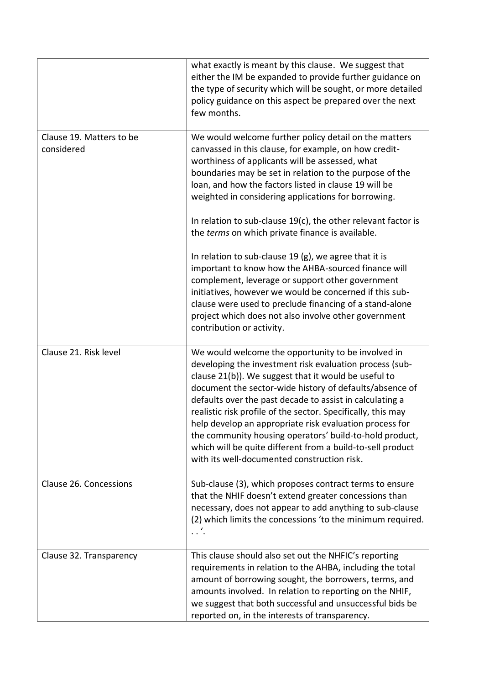|                                        | what exactly is meant by this clause. We suggest that<br>either the IM be expanded to provide further guidance on<br>the type of security which will be sought, or more detailed<br>policy guidance on this aspect be prepared over the next<br>few months.                                                                                                                                                                                                                                                                                                                                     |
|----------------------------------------|-------------------------------------------------------------------------------------------------------------------------------------------------------------------------------------------------------------------------------------------------------------------------------------------------------------------------------------------------------------------------------------------------------------------------------------------------------------------------------------------------------------------------------------------------------------------------------------------------|
| Clause 19. Matters to be<br>considered | We would welcome further policy detail on the matters<br>canvassed in this clause, for example, on how credit-<br>worthiness of applicants will be assessed, what<br>boundaries may be set in relation to the purpose of the<br>loan, and how the factors listed in clause 19 will be<br>weighted in considering applications for borrowing.                                                                                                                                                                                                                                                    |
|                                        | In relation to sub-clause 19(c), the other relevant factor is<br>the terms on which private finance is available.                                                                                                                                                                                                                                                                                                                                                                                                                                                                               |
|                                        | In relation to sub-clause 19 $(g)$ , we agree that it is<br>important to know how the AHBA-sourced finance will<br>complement, leverage or support other government<br>initiatives, however we would be concerned if this sub-<br>clause were used to preclude financing of a stand-alone<br>project which does not also involve other government<br>contribution or activity.                                                                                                                                                                                                                  |
| Clause 21. Risk level                  | We would welcome the opportunity to be involved in<br>developing the investment risk evaluation process (sub-<br>clause 21(b)). We suggest that it would be useful to<br>document the sector-wide history of defaults/absence of<br>defaults over the past decade to assist in calculating a<br>realistic risk profile of the sector. Specifically, this may<br>help develop an appropriate risk evaluation process for<br>the community housing operators' build-to-hold product,<br>which will be quite different from a build-to-sell product<br>with its well-documented construction risk. |
| Clause 26. Concessions                 | Sub-clause (3), which proposes contract terms to ensure<br>that the NHIF doesn't extend greater concessions than<br>necessary, does not appear to add anything to sub-clause<br>(2) which limits the concessions 'to the minimum required.<br>$\ldots'$                                                                                                                                                                                                                                                                                                                                         |
| Clause 32. Transparency                | This clause should also set out the NHFIC's reporting<br>requirements in relation to the AHBA, including the total<br>amount of borrowing sought, the borrowers, terms, and<br>amounts involved. In relation to reporting on the NHIF,<br>we suggest that both successful and unsuccessful bids be<br>reported on, in the interests of transparency.                                                                                                                                                                                                                                            |